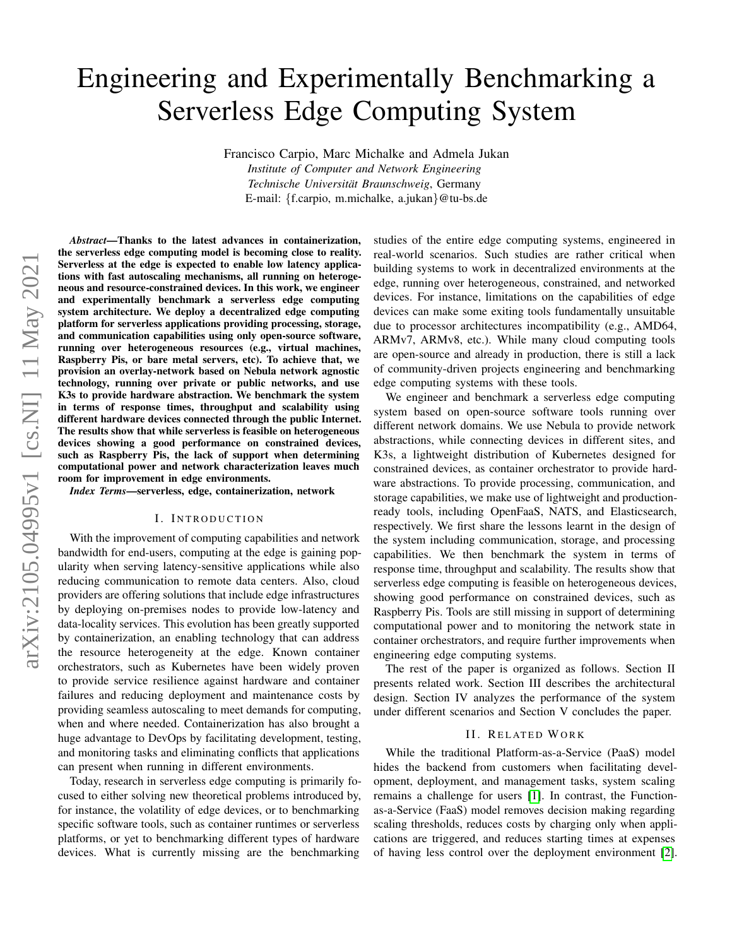# Engineering and Experimentally Benchmarking a Serverless Edge Computing System

Francisco Carpio, Marc Michalke and Admela Jukan

*Institute of Computer and Network Engineering Technische Universitat Braunschweig ¨* , Germany E-mail: {f.carpio, m.michalke, a.jukan}@tu-bs.de

*Abstract*—Thanks to the latest advances in containerization, the serverless edge computing model is becoming close to reality. Serverless at the edge is expected to enable low latency applications with fast autoscaling mechanisms, all running on heterogeneous and resource-constrained devices. In this work, we engineer and experimentally benchmark a serverless edge computing system architecture. We deploy a decentralized edge computing platform for serverless applications providing processing, storage, and communication capabilities using only open-source software, running over heterogeneous resources (e.g., virtual machines, Raspberry Pis, or bare metal servers, etc). To achieve that, we provision an overlay-network based on Nebula network agnostic technology, running over private or public networks, and use K3s to provide hardware abstraction. We benchmark the system in terms of response times, throughput and scalability using different hardware devices connected through the public Internet. The results show that while serverless is feasible on heterogeneous devices showing a good performance on constrained devices, such as Raspberry Pis, the lack of support when determining computational power and network characterization leaves much room for improvement in edge environments.

*Index Terms*—serverless, edge, containerization, network

## I. INTRODUCTION

With the improvement of computing capabilities and network bandwidth for end-users, computing at the edge is gaining popularity when serving latency-sensitive applications while also reducing communication to remote data centers. Also, cloud providers are offering solutions that include edge infrastructures by deploying on-premises nodes to provide low-latency and data-locality services. This evolution has been greatly supported by containerization, an enabling technology that can address the resource heterogeneity at the edge. Known container orchestrators, such as Kubernetes have been widely proven to provide service resilience against hardware and container failures and reducing deployment and maintenance costs by providing seamless autoscaling to meet demands for computing, when and where needed. Containerization has also brought a huge advantage to DevOps by facilitating development, testing, and monitoring tasks and eliminating conflicts that applications can present when running in different environments.

Today, research in serverless edge computing is primarily focused to either solving new theoretical problems introduced by, for instance, the volatility of edge devices, or to benchmarking specific software tools, such as container runtimes or serverless platforms, or yet to benchmarking different types of hardware devices. What is currently missing are the benchmarking

studies of the entire edge computing systems, engineered in real-world scenarios. Such studies are rather critical when building systems to work in decentralized environments at the edge, running over heterogeneous, constrained, and networked devices. For instance, limitations on the capabilities of edge devices can make some exiting tools fundamentally unsuitable due to processor architectures incompatibility (e.g., AMD64, ARMv7, ARMv8, etc.). While many cloud computing tools are open-source and already in production, there is still a lack of community-driven projects engineering and benchmarking edge computing systems with these tools.

We engineer and benchmark a serverless edge computing system based on open-source software tools running over different network domains. We use Nebula to provide network abstractions, while connecting devices in different sites, and K3s, a lightweight distribution of Kubernetes designed for constrained devices, as container orchestrator to provide hardware abstractions. To provide processing, communication, and storage capabilities, we make use of lightweight and productionready tools, including OpenFaaS, NATS, and Elasticsearch, respectively. We first share the lessons learnt in the design of the system including communication, storage, and processing capabilities. We then benchmark the system in terms of response time, throughput and scalability. The results show that serverless edge computing is feasible on heterogeneous devices, showing good performance on constrained devices, such as Raspberry Pis. Tools are still missing in support of determining computational power and to monitoring the network state in container orchestrators, and require further improvements when engineering edge computing systems.

The rest of the paper is organized as follows. Section II presents related work. Section III describes the architectural design. Section IV analyzes the performance of the system under different scenarios and Section V concludes the paper.

#### II. RELATED WORK

While the traditional Platform-as-a-Service (PaaS) model hides the backend from customers when facilitating development, deployment, and management tasks, system scaling remains a challenge for users [\[1\]](#page-5-0). In contrast, the Functionas-a-Service (FaaS) model removes decision making regarding scaling thresholds, reduces costs by charging only when applications are triggered, and reduces starting times at expenses of having less control over the deployment environment [\[2\]](#page-5-1).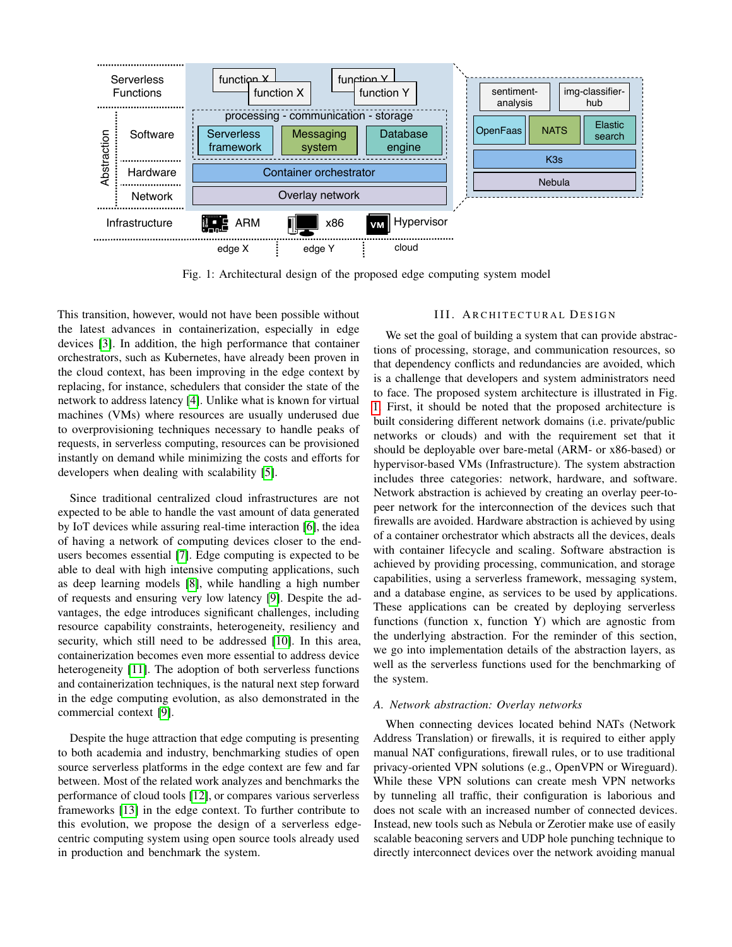<span id="page-1-0"></span>

Fig. 1: Architectural design of the proposed edge computing system model

This transition, however, would not have been possible without the latest advances in containerization, especially in edge devices [\[3\]](#page-5-2). In addition, the high performance that container orchestrators, such as Kubernetes, have already been proven in the cloud context, has been improving in the edge context by replacing, for instance, schedulers that consider the state of the network to address latency [\[4\]](#page-5-3). Unlike what is known for virtual machines (VMs) where resources are usually underused due to overprovisioning techniques necessary to handle peaks of requests, in serverless computing, resources can be provisioned instantly on demand while minimizing the costs and efforts for developers when dealing with scalability [\[5\]](#page-5-4).

Since traditional centralized cloud infrastructures are not expected to be able to handle the vast amount of data generated by IoT devices while assuring real-time interaction [\[6\]](#page-5-5), the idea of having a network of computing devices closer to the endusers becomes essential [\[7\]](#page-5-6). Edge computing is expected to be able to deal with high intensive computing applications, such as deep learning models [\[8\]](#page-5-7), while handling a high number of requests and ensuring very low latency [\[9\]](#page-5-8). Despite the advantages, the edge introduces significant challenges, including resource capability constraints, heterogeneity, resiliency and security, which still need to be addressed [\[10\]](#page-5-9). In this area, containerization becomes even more essential to address device heterogeneity [\[11\]](#page-5-10). The adoption of both serverless functions and containerization techniques, is the natural next step forward in the edge computing evolution, as also demonstrated in the commercial context [\[9\]](#page-5-8).

Despite the huge attraction that edge computing is presenting to both academia and industry, benchmarking studies of open source serverless platforms in the edge context are few and far between. Most of the related work analyzes and benchmarks the performance of cloud tools [\[12\]](#page-5-11), or compares various serverless frameworks [\[13\]](#page-5-12) in the edge context. To further contribute to this evolution, we propose the design of a serverless edgecentric computing system using open source tools already used in production and benchmark the system.

## III. ARCHITECTURAL DESIGN

We set the goal of building a system that can provide abstractions of processing, storage, and communication resources, so that dependency conflicts and redundancies are avoided, which is a challenge that developers and system administrators need to face. The proposed system architecture is illustrated in Fig. [1.](#page-1-0) First, it should be noted that the proposed architecture is built considering different network domains (i.e. private/public networks or clouds) and with the requirement set that it should be deployable over bare-metal (ARM- or x86-based) or hypervisor-based VMs (Infrastructure). The system abstraction includes three categories: network, hardware, and software. Network abstraction is achieved by creating an overlay peer-topeer network for the interconnection of the devices such that firewalls are avoided. Hardware abstraction is achieved by using of a container orchestrator which abstracts all the devices, deals with container lifecycle and scaling. Software abstraction is achieved by providing processing, communication, and storage capabilities, using a serverless framework, messaging system, and a database engine, as services to be used by applications. These applications can be created by deploying serverless functions (function x, function Y) which are agnostic from the underlying abstraction. For the reminder of this section, we go into implementation details of the abstraction layers, as well as the serverless functions used for the benchmarking of the system.

## *A. Network abstraction: Overlay networks*

When connecting devices located behind NATs (Network Address Translation) or firewalls, it is required to either apply manual NAT configurations, firewall rules, or to use traditional privacy-oriented VPN solutions (e.g., OpenVPN or Wireguard). While these VPN solutions can create mesh VPN networks by tunneling all traffic, their configuration is laborious and does not scale with an increased number of connected devices. Instead, new tools such as Nebula or Zerotier make use of easily scalable beaconing servers and UDP hole punching technique to directly interconnect devices over the network avoiding manual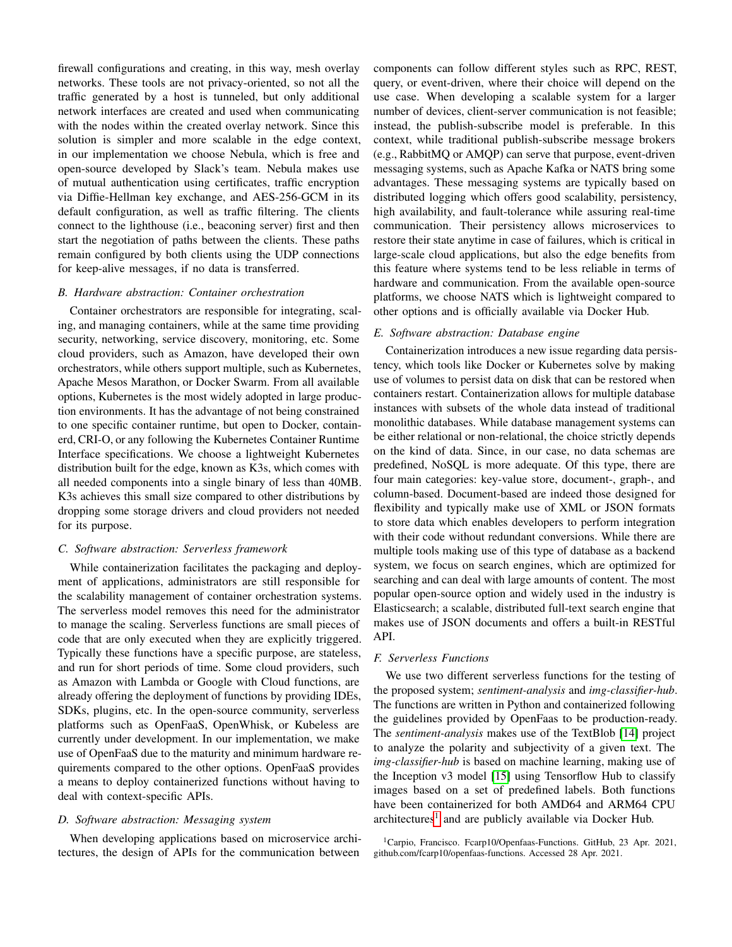firewall configurations and creating, in this way, mesh overlay networks. These tools are not privacy-oriented, so not all the traffic generated by a host is tunneled, but only additional network interfaces are created and used when communicating with the nodes within the created overlay network. Since this solution is simpler and more scalable in the edge context, in our implementation we choose Nebula, which is free and open-source developed by Slack's team. Nebula makes use of mutual authentication using certificates, traffic encryption via Diffie-Hellman key exchange, and AES-256-GCM in its default configuration, as well as traffic filtering. The clients connect to the lighthouse (i.e., beaconing server) first and then start the negotiation of paths between the clients. These paths remain configured by both clients using the UDP connections for keep-alive messages, if no data is transferred.

#### *B. Hardware abstraction: Container orchestration*

Container orchestrators are responsible for integrating, scaling, and managing containers, while at the same time providing security, networking, service discovery, monitoring, etc. Some cloud providers, such as Amazon, have developed their own orchestrators, while others support multiple, such as Kubernetes, Apache Mesos Marathon, or Docker Swarm. From all available options, Kubernetes is the most widely adopted in large production environments. It has the advantage of not being constrained to one specific container runtime, but open to Docker, containerd, CRI-O, or any following the Kubernetes Container Runtime Interface specifications. We choose a lightweight Kubernetes distribution built for the edge, known as K3s, which comes with all needed components into a single binary of less than 40MB. K3s achieves this small size compared to other distributions by dropping some storage drivers and cloud providers not needed for its purpose.

#### *C. Software abstraction: Serverless framework*

While containerization facilitates the packaging and deployment of applications, administrators are still responsible for the scalability management of container orchestration systems. The serverless model removes this need for the administrator to manage the scaling. Serverless functions are small pieces of code that are only executed when they are explicitly triggered. Typically these functions have a specific purpose, are stateless, and run for short periods of time. Some cloud providers, such as Amazon with Lambda or Google with Cloud functions, are already offering the deployment of functions by providing IDEs, SDKs, plugins, etc. In the open-source community, serverless platforms such as OpenFaaS, OpenWhisk, or Kubeless are currently under development. In our implementation, we make use of OpenFaaS due to the maturity and minimum hardware requirements compared to the other options. OpenFaaS provides a means to deploy containerized functions without having to deal with context-specific APIs.

## *D. Software abstraction: Messaging system*

When developing applications based on microservice architectures, the design of APIs for the communication between

components can follow different styles such as RPC, REST, query, or event-driven, where their choice will depend on the use case. When developing a scalable system for a larger number of devices, client-server communication is not feasible; instead, the publish-subscribe model is preferable. In this context, while traditional publish-subscribe message brokers (e.g., RabbitMQ or AMQP) can serve that purpose, event-driven messaging systems, such as Apache Kafka or NATS bring some advantages. These messaging systems are typically based on distributed logging which offers good scalability, persistency, high availability, and fault-tolerance while assuring real-time communication. Their persistency allows microservices to restore their state anytime in case of failures, which is critical in large-scale cloud applications, but also the edge benefits from this feature where systems tend to be less reliable in terms of hardware and communication. From the available open-source platforms, we choose NATS which is lightweight compared to other options and is officially available via Docker Hub.

## *E. Software abstraction: Database engine*

Containerization introduces a new issue regarding data persistency, which tools like Docker or Kubernetes solve by making use of volumes to persist data on disk that can be restored when containers restart. Containerization allows for multiple database instances with subsets of the whole data instead of traditional monolithic databases. While database management systems can be either relational or non-relational, the choice strictly depends on the kind of data. Since, in our case, no data schemas are predefined, NoSQL is more adequate. Of this type, there are four main categories: key-value store, document-, graph-, and column-based. Document-based are indeed those designed for flexibility and typically make use of XML or JSON formats to store data which enables developers to perform integration with their code without redundant conversions. While there are multiple tools making use of this type of database as a backend system, we focus on search engines, which are optimized for searching and can deal with large amounts of content. The most popular open-source option and widely used in the industry is Elasticsearch; a scalable, distributed full-text search engine that makes use of JSON documents and offers a built-in RESTful API.

#### *F. Serverless Functions*

We use two different serverless functions for the testing of the proposed system; *sentiment-analysis* and *img-classifier-hub*. The functions are written in Python and containerized following the guidelines provided by OpenFaas to be production-ready. The *sentiment-analysis* makes use of the TextBlob [\[14\]](#page-5-13) project to analyze the polarity and subjectivity of a given text. The *img-classifier-hub* is based on machine learning, making use of the Inception v3 model [\[15\]](#page-5-14) using Tensorflow Hub to classify images based on a set of predefined labels. Both functions have been containerized for both AMD64 and ARM64 CPU architectures<sup>[1](#page-2-0)</sup> and are publicly available via Docker Hub.

<span id="page-2-0"></span><sup>1</sup>Carpio, Francisco. Fcarp10/Openfaas-Functions. GitHub, 23 Apr. 2021, github.com/fcarp10/openfaas-functions. Accessed 28 Apr. 2021.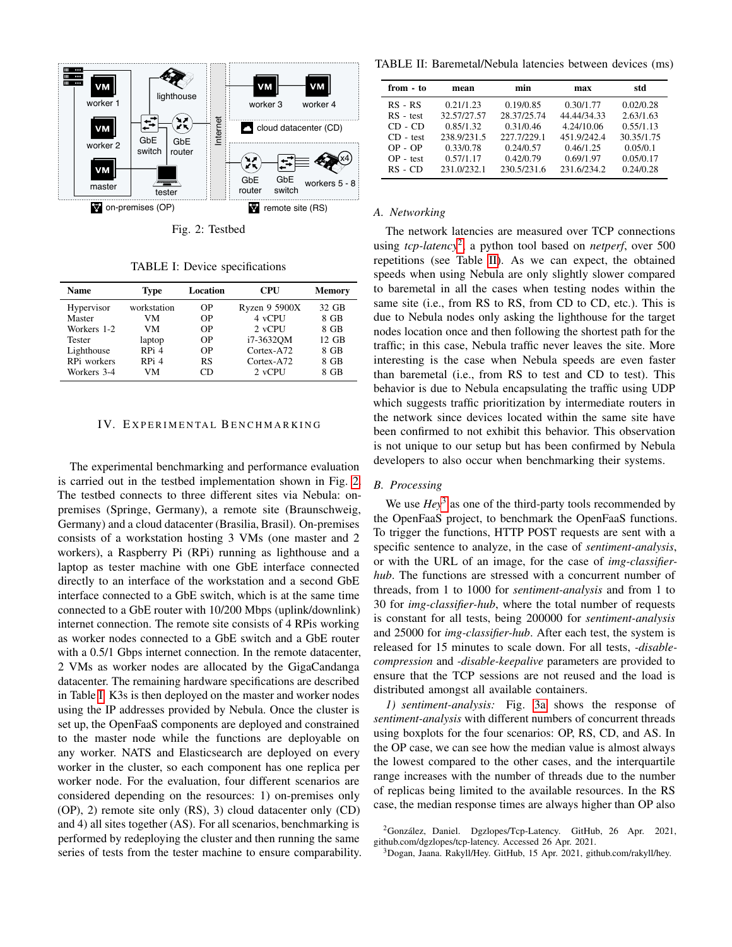<span id="page-3-0"></span>

Fig. 2: Testbed

TABLE I: Device specifications

<span id="page-3-1"></span>

| <b>Name</b>   | <b>Type</b> | Location | <b>CPU</b>    | Memory |
|---------------|-------------|----------|---------------|--------|
| Hypervisor    | workstation | OΡ       | Ryzen 9 5900X | 32 GB  |
| Master        | VМ          | OΡ       | 4 vCPU        | 8 GB   |
| Workers 1-2   | VМ          | OΡ       | $2$ vCPU      | 8 GB   |
| <b>Tester</b> | laptop      | OΡ       | i7-3632OM     | 12 GB  |
| Lighthouse    | RPi 4       | OΡ       | Cortex-A72    | 8 GB   |
| RPi workers   | RPi 4       | RS       | $Cortex-A72$  | 8 GB   |
| Workers 3-4   | VM          | ΜD       | 2 vCPU        | 8 GB   |

#### IV. EXPERIMENTAL BENCHMARKING

The experimental benchmarking and performance evaluation is carried out in the testbed implementation shown in Fig. [2.](#page-3-0) The testbed connects to three different sites via Nebula: onpremises (Springe, Germany), a remote site (Braunschweig, Germany) and a cloud datacenter (Brasilia, Brasil). On-premises consists of a workstation hosting 3 VMs (one master and 2 workers), a Raspberry Pi (RPi) running as lighthouse and a laptop as tester machine with one GbE interface connected directly to an interface of the workstation and a second GbE interface connected to a GbE switch, which is at the same time connected to a GbE router with 10/200 Mbps (uplink/downlink) internet connection. The remote site consists of 4 RPis working as worker nodes connected to a GbE switch and a GbE router with a  $0.5/1$  Gbps internet connection. In the remote datacenter, 2 VMs as worker nodes are allocated by the GigaCandanga datacenter. The remaining hardware specifications are described in Table [I.](#page-3-1) K3s is then deployed on the master and worker nodes using the IP addresses provided by Nebula. Once the cluster is set up, the OpenFaaS components are deployed and constrained to the master node while the functions are deployable on any worker. NATS and Elasticsearch are deployed on every worker in the cluster, so each component has one replica per worker node. For the evaluation, four different scenarios are considered depending on the resources: 1) on-premises only (OP), 2) remote site only (RS), 3) cloud datacenter only (CD) and 4) all sites together (AS). For all scenarios, benchmarking is performed by redeploying the cluster and then running the same series of tests from the tester machine to ensure comparability.

<span id="page-3-3"></span>TABLE II: Baremetal/Nebula latencies between devices (ms)

| from - to   | mean        | min         | max         | std        |
|-------------|-------------|-------------|-------------|------------|
| $RS - RS$   | 0.21/1.23   | 0.19/0.85   | 0.30/1.77   | 0.02/0.28  |
| $RS - test$ | 32.57/27.57 | 28.37/25.74 | 44.44/34.33 | 2.63/1.63  |
| $CD - CD$   | 0.85/1.32   | 0.31/0.46   | 4.24/10.06  | 0.55/1.13  |
| $CD - test$ | 238.9/231.5 | 227 7/229 1 | 451.9/242.4 | 30.35/1.75 |
| $OP - OP$   | 0.33/0.78   | 0.24/0.57   | 0.46/1.25   | 0.05/0.1   |
| $OP - test$ | 0.57/1.17   | 0.42/0.79   | 0.69/1.97   | 0.05/0.17  |
| $RS$ - $CD$ | 231.0/232.1 | 230.5/231.6 | 231.6/234.2 | 0.24/0.28  |

## *A. Networking*

The network latencies are measured over TCP connections using *tcp-latency*[2](#page-3-2) , a python tool based on *netperf*, over 500 repetitions (see Table [II\)](#page-3-3). As we can expect, the obtained speeds when using Nebula are only slightly slower compared to baremetal in all the cases when testing nodes within the same site (i.e., from RS to RS, from CD to CD, etc.). This is due to Nebula nodes only asking the lighthouse for the target nodes location once and then following the shortest path for the traffic; in this case, Nebula traffic never leaves the site. More interesting is the case when Nebula speeds are even faster than baremetal (i.e., from RS to test and CD to test). This behavior is due to Nebula encapsulating the traffic using UDP which suggests traffic prioritization by intermediate routers in the network since devices located within the same site have been confirmed to not exhibit this behavior. This observation is not unique to our setup but has been confirmed by Nebula developers to also occur when benchmarking their systems.

## *B. Processing*

We use  $Hey^3$  $Hey^3$  as one of the third-party tools recommended by the OpenFaaS project, to benchmark the OpenFaaS functions. To trigger the functions, HTTP POST requests are sent with a specific sentence to analyze, in the case of *sentiment-analysis*, or with the URL of an image, for the case of *img-classifierhub*. The functions are stressed with a concurrent number of threads, from 1 to 1000 for *sentiment-analysis* and from 1 to 30 for *img-classifier-hub*, where the total number of requests is constant for all tests, being 200000 for *sentiment-analysis* and 25000 for *img-classifier-hub*. After each test, the system is released for 15 minutes to scale down. For all tests, *-disablecompression* and *-disable-keepalive* parameters are provided to ensure that the TCP sessions are not reused and the load is distributed amongst all available containers.

*1) sentiment-analysis:* Fig. [3a](#page-4-0) shows the response of *sentiment-analysis* with different numbers of concurrent threads using boxplots for the four scenarios: OP, RS, CD, and AS. In the OP case, we can see how the median value is almost always the lowest compared to the other cases, and the interquartile range increases with the number of threads due to the number of replicas being limited to the available resources. In the RS case, the median response times are always higher than OP also

<span id="page-3-4"></span><sup>3</sup>Dogan, Jaana. Rakyll/Hey. GitHub, 15 Apr. 2021, github.com/rakyll/hey.

<span id="page-3-2"></span> ${}^{2}$ González, Daniel. Dgzlopes/Tcp-Latency. GitHub, 26 Apr. 2021, github.com/dgzlopes/tcp-latency. Accessed 26 Apr. 2021.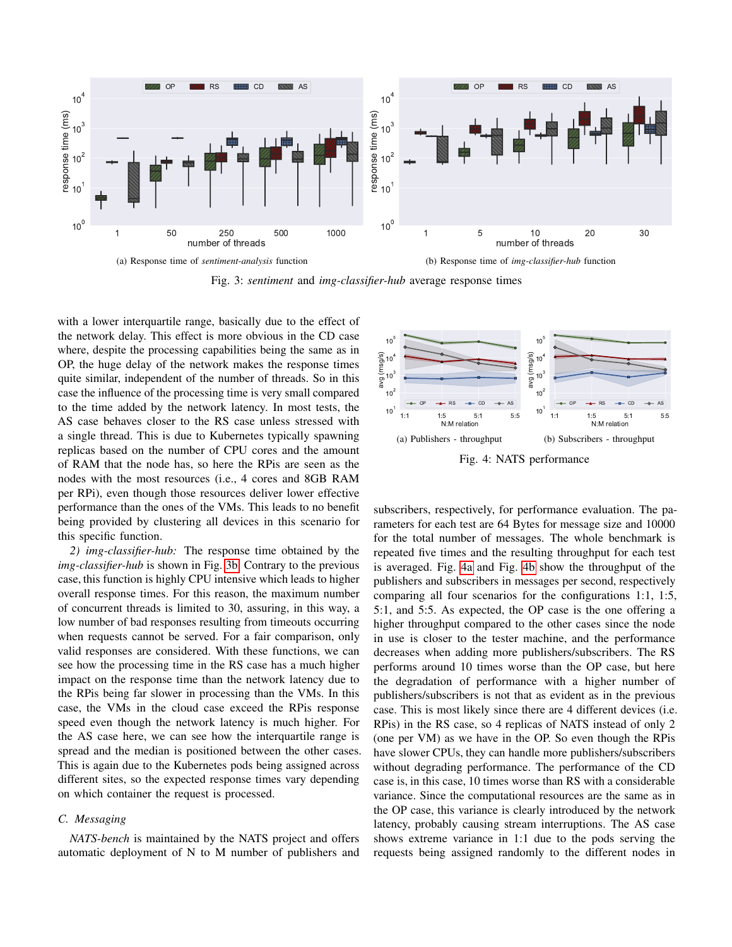<span id="page-4-0"></span>

Fig. 3: *sentiment* and *img-classifier-hub* average response times

with a lower interquartile range, basically due to the effect of the network delay. This effect is more obvious in the CD case where, despite the processing capabilities being the same as in OP, the huge delay of the network makes the response times quite similar, independent of the number of threads. So in this case the influence of the processing time is very small compared to the time added by the network latency. In most tests, the AS case behaves closer to the RS case unless stressed with a single thread. This is due to Kubernetes typically spawning replicas based on the number of CPU cores and the amount of RAM that the node has, so here the RPis are seen as the nodes with the most resources (i.e., 4 cores and 8GB RAM per RPi), even though those resources deliver lower effective performance than the ones of the VMs. This leads to no benefit being provided by clustering all devices in this scenario for this specific function.

*2) img-classifier-hub:* The response time obtained by the *img-classifier-hub* is shown in Fig. [3b.](#page-4-1) Contrary to the previous case, this function is highly CPU intensive which leads to higher overall response times. For this reason, the maximum number of concurrent threads is limited to 30, assuring, in this way, a low number of bad responses resulting from timeouts occurring when requests cannot be served. For a fair comparison, only valid responses are considered. With these functions, we can see how the processing time in the RS case has a much higher impact on the response time than the network latency due to the RPis being far slower in processing than the VMs. In this case, the VMs in the cloud case exceed the RPis response speed even though the network latency is much higher. For the AS case here, we can see how the interquartile range is spread and the median is positioned between the other cases. This is again due to the Kubernetes pods being assigned across different sites, so the expected response times vary depending on which container the request is processed.

## *C. Messaging*

*NATS-bench* is maintained by the NATS project and offers automatic deployment of N to M number of publishers and

<span id="page-4-2"></span><span id="page-4-1"></span>

<span id="page-4-3"></span>subscribers, respectively, for performance evaluation. The parameters for each test are 64 Bytes for message size and 10000 for the total number of messages. The whole benchmark is repeated five times and the resulting throughput for each test is averaged. Fig. [4a](#page-4-2) and Fig. [4b](#page-4-3) show the throughput of the publishers and subscribers in messages per second, respectively comparing all four scenarios for the configurations 1:1, 1:5, 5:1, and 5:5. As expected, the OP case is the one offering a higher throughput compared to the other cases since the node in use is closer to the tester machine, and the performance decreases when adding more publishers/subscribers. The RS performs around 10 times worse than the OP case, but here the degradation of performance with a higher number of publishers/subscribers is not that as evident as in the previous case. This is most likely since there are 4 different devices (i.e. RPis) in the RS case, so 4 replicas of NATS instead of only 2 (one per VM) as we have in the OP. So even though the RPis have slower CPUs, they can handle more publishers/subscribers without degrading performance. The performance of the CD case is, in this case, 10 times worse than RS with a considerable variance. Since the computational resources are the same as in the OP case, this variance is clearly introduced by the network latency, probably causing stream interruptions. The AS case shows extreme variance in 1:1 due to the pods serving the requests being assigned randomly to the different nodes in